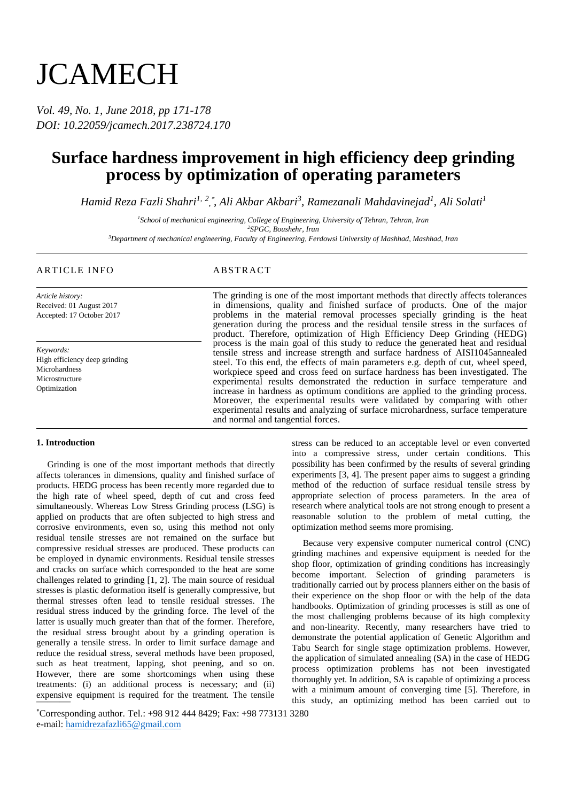# **JCAMECH**

*Vol. 49, No. 1, June 2018, pp 171-178 DOI: 10.22059/jcamech.2017.238724.170*

## **Surface hardness improvement in high efficiency deep grinding process by optimization of operating parameters**

*Hamid Reza Fazli Shahri1, <sup>2</sup> ,* \* *, Ali Akbar Akbari<sup>3</sup> , Ramezanali Mahdavinejad<sup>1</sup> , Ali Solati<sup>1</sup>*

*<sup>1</sup>School of mechanical engineering, College of Engineering, University of Tehran, Tehran, Iran <sup>2</sup>SPGC, Boushehr, Iran*

*<sup>3</sup>Department of mechanical engineering, Faculty of Engineering, Ferdowsi University of Mashhad, Mashhad, Iran*

### ARTICLE INFO ABSTRACT

*Article history:* Received: 01 August 2017 Accepted: 17 October 2017

*Keywords:* High efficiency deep grinding Microhardness Microstructure Optimization

The grinding is one of the most important methods that directly affects tolerances in dimensions, quality and finished surface of products. One of the major problems in the material removal processes specially grinding is the heat generation during the process and the residual tensile stress in the surfaces of product. Therefore, optimization of High Efficiency Deep Grinding (HEDG) process is the main goal of this study to reduce the generated heat and residual tensile stress and increase strength and surface hardness of AISI1045annealed steel. To this end, the effects of main parameters e.g. depth of cut, wheel speed, workpiece speed and cross feed on surface hardness has been investigated. The experimental results demonstrated the reduction in surface temperature and increase in hardness as optimum conditions are applied to the grinding process. Moreover, the experimental results were validated by comparing with other experimental results and analyzing of surface microhardness, surface temperature and normal and tangential forces.

#### **1. Introduction**

expensive equipment is required for the treatment. The tensile Grinding is one of the most important methods that directly affects tolerances in dimensions, quality and finished surface of products. HEDG process has been recently more regarded due to the high rate of wheel speed, depth of cut and cross feed simultaneously. Whereas Low Stress Grinding process (LSG) is applied on products that are often subjected to high stress and corrosive environments, even so, using this method not only residual tensile stresses are not remained on the surface but compressive residual stresses are produced. These products can be employed in dynamic environments. Residual tensile stresses and cracks on surface which corresponded to the heat are some challenges related to grinding [1, 2]. The main source of residual stresses is plastic deformation itself is generally compressive, but thermal stresses often lead to tensile residual stresses. The residual stress induced by the grinding force. The level of the latter is usually much greater than that of the former. Therefore, the residual stress brought about by a grinding operation is generally a tensile stress. In order to limit surface damage and reduce the residual stress, several methods have been proposed, such as heat treatment, lapping, shot peening, and so on. However, there are some shortcomings when using these treatments: (i) an additional process is necessary; and (ii)

\*Corresponding author. Tel.: +98 912 444 8429; Fax: +98 773131 3280 e-mail: hamidrezafazli65@gmail.com

stress can be reduced to an acceptable level or even converted into a compressive stress, under certain conditions. This possibility has been confirmed by the results of several grinding experiments [3, 4]. The present paper aims to suggest a grinding method of the reduction of surface residual tensile stress by appropriate selection of process parameters. In the area of research where analytical tools are not strong enough to present a reasonable solution to the problem of metal cutting, the optimization method seems more promising.

Because very expensive computer numerical control (CNC) grinding machines and expensive equipment is needed for the shop floor, optimization of grinding conditions has increasingly become important. Selection of grinding parameters is traditionally carried out by process planners either on the basis of their experience on the shop floor or with the help of the data handbooks. Optimization of grinding processes is still as one of the most challenging problems because of its high complexity and non-linearity. Recently, many researchers have tried to demonstrate the potential application of Genetic Algorithm and Tabu Search for single stage optimization problems. However, the application of simulated annealing (SA) in the case of HEDG process optimization problems has not been investigated thoroughly yet. In addition, SA is capable of optimizing a process with a minimum amount of converging time [5]. Therefore, in this study, an optimizing method has been carried out to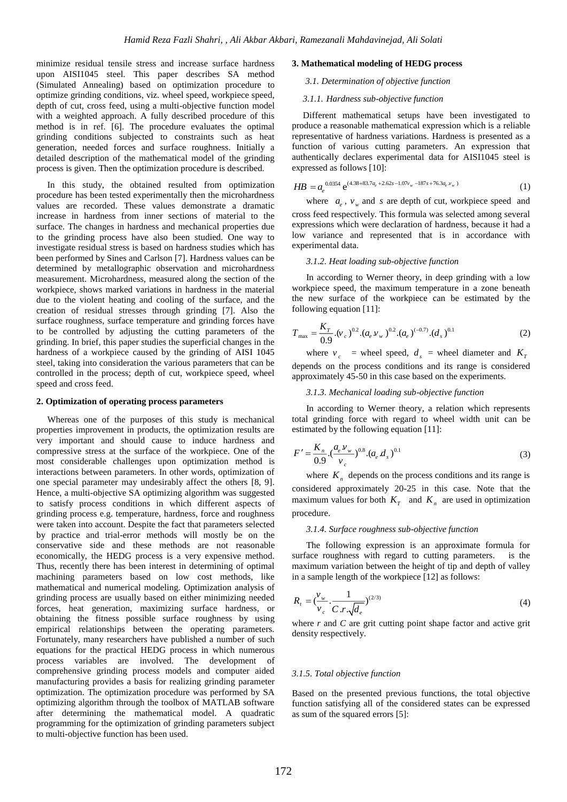minimize residual tensile stress and increase surface hardness upon AISI1045 steel. This paper describes SA method (Simulated Annealing) based on optimization procedure to optimize grinding conditions, viz. wheel speed, workpiece speed, depth of cut, cross feed, using a multi-objective function model with a weighted approach. A fully described procedure of this method is in ref. [6]. The procedure evaluates the optimal grinding conditions subjected to constraints such as heat generation, needed forces and surface roughness. Initially a detailed description of the mathematical model of the grinding process is given. Then the optimization procedure is described.

In this study, the obtained resulted from optimization procedure has been tested experimentally then the microhardness values are recorded. These values demonstrate a dramatic increase in hardness from inner sections of material to the surface. The changes in hardness and mechanical properties due to the grinding process have also been studied. One way to investigate residual stress is based on hardness studies which has been performed by Sines and Carlson [7]. Hardness values can be determined by metallographic observation and microhardness measurement. Microhardness, measured along the section of the workpiece, shows marked variations in hardness in the material due to the violent heating and cooling of the surface, and the creation of residual stresses through grinding [7]. Also the surface roughness, surface temperature and grinding forces have to be controlled by adjusting the cutting parameters of the grinding. In brief, this paper studies the superficial changes in the hardness of a workpiece caused by the grinding of AISI 1045 steel, taking into consideration the various parameters that can be controlled in the process; depth of cut, workpiece speed, wheel speed and cross feed.

#### **2. Optimization of operating process parameters**

Whereas one of the purposes of this study is mechanical properties improvement in products, the optimization results are very important and should cause to induce hardness and compressive stress at the surface of the workpiece. One of the most considerable challenges upon optimization method is interactions between parameters. In other words, optimization of one special parameter may undesirably affect the others [8, 9]. Hence, a multi-objective SA optimizing algorithm was suggested to satisfy process conditions in which different aspects of grinding process e.g. temperature, hardness, force and roughness were taken into account. Despite the fact that parameters selected by practice and trial-error methods will mostly be on the conservative side and these methods are not reasonable economically, the HEDG process is a very expensive method. Thus, recently there has been interest in determining of optimal machining parameters based on low cost methods, like mathematical and numerical modeling. Optimization analysis of grinding process are usually based on either minimizing needed forces, heat generation, maximizing surface hardness, or obtaining the fitness possible surface roughness by using empirical relationships between the operating parameters. Fortunately, many researchers have published a number of such equations for the practical HEDG process in which numerous process variables are involved. The development of comprehensive grinding process models and computer aided manufacturing provides a basis for realizing grinding parameter optimization. The optimization procedure was performed by SA optimizing algorithm through the toolbox of MATLAB software after determining the mathematical model. A quadratic programming for the optimization of grinding parameters subject to multi-objective function has been used.

#### **3. Mathematical modeling of HEDG process**

#### *3.1. Determination of objective function*

#### *3.1.1. Hardness sub-objective function*

Different mathematical setups have been investigated to produce a reasonable mathematical expression which is a reliable representative of hardness variations. Hardness is presented as a function of various cutting parameters. An expression that authentically declares experimental data for AISI1045 steel is expressed as follows [10]:

$$
HB = a_e^{0.0354} e^{(4.38 + 83.7a_e + 2.62s - 1.07v_w - 187s + 76.3a_e v_w)}
$$
 (1)

where  $a_e$ ,  $v_w$  and *s* are depth of cut, workpiece speed and cross feed respectively. This formula was selected among several expressions which were declaration of hardness, because it had a low variance and represented that is in accordance with experimental data.

#### *3.1.2. Heat loading sub-objective function*

In according to Werner theory, in deep grinding with a low workpiece speed, the maximum temperature in a zone beneath the new surface of the workpiece can be estimated by the following equation [11]:

$$
T_{\text{max}} = \frac{K_T}{0.9} . (v_c)^{0.2} . (a_e v_w)^{0.2} . (a_e)^{(-0.7)} . (d_s)^{0.1}
$$
 (2)

where  $v_c$  = wheel speed,  $d_s$  = wheel diameter and  $K_T$ depends on the process conditions and its range is considered approximately 45-50 in this case based on the experiments.

#### *3.1.3. Mechanical loading sub-objective function*

In according to Werner theory, a relation which represents total grinding force with regard to wheel width unit can be estimated by the following equation [11]:

$$
F' = \frac{K_n}{0.9} \cdot \left(\frac{a_e v_w}{v_c}\right)^{0.8} \cdot \left(a_e d_s\right)^{0.1} \tag{3}
$$

where  $K_n$  depends on the process conditions and its range is considered approximately 20-25 in this case. Note that the maximum values for both  $K_T$  and  $K_n$  are used in optimization procedure.

#### *3.1.4. Surface roughness sub-objective function*

The following expression is an approximate formula for surface roughness with regard to cutting parameters. is the maximum variation between the height of tip and depth of valley in a sample length of the workpiece [12] as follows:

$$
R_{t} = (\frac{v_{w}}{v_{c}} \cdot \frac{1}{C \cdot r \cdot \sqrt{d_{e}}})^{(2/3)}
$$
(4)

where *r* and *C* are grit cutting point shape factor and active grit density respectively.

#### *3.1.5. Total objective function*

Based on the presented previous functions, the total objective function satisfying all of the considered states can be expressed as sum of the squared errors [5]: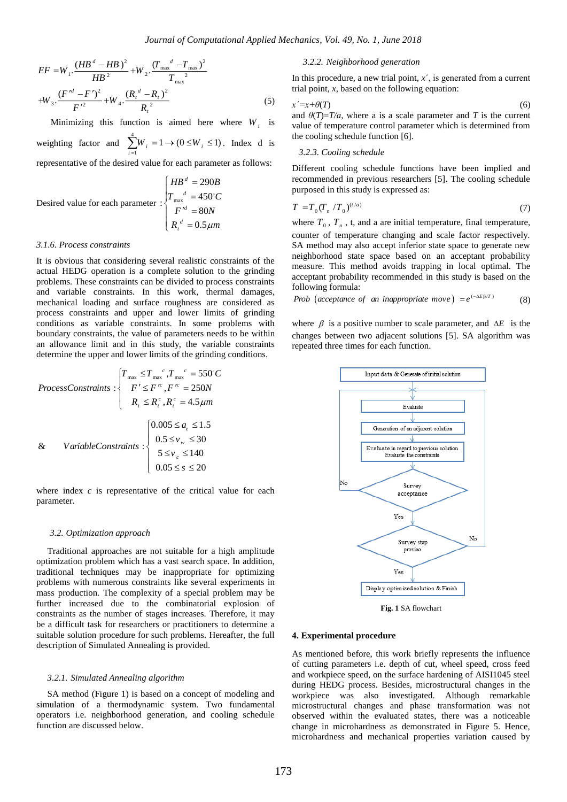$$
EF = W_1 \cdot \frac{(HB^d - HB)^2}{HB^2} + W_2 \cdot \frac{(T_{\text{max}}^d - T_{\text{max}})^2}{T_{\text{max}}^2}
$$
  
+
$$
W_3 \cdot \frac{(F'^d - F')^2}{F'^2} + W_4 \cdot \frac{(R_t^d - R_t)^2}{R_t^2}
$$
 (5)

Minimizing this function is aimed here where  $W_i$  is weighting factor and  $\sum_{n=1}^{\infty}$  $\sum_{i=1}^{n} W_i = 1 \rightarrow (0 \leq W_i \leq 1)$  $W_i = 1 \rightarrow 0 \leq W$  $\sum_{i=1}^{n} W_i = 1 \rightarrow (0 \leq W_i \leq 1)$ . Index d is representative of the desired value for each parameter as follows:  $200p$ 

Desired value for each parameter : 
$$
\begin{cases} HB^d = 290B \\ T_{\text{max}}^d = 450^\circ C \\ F'^d = 80N \\ R_t^d = 0.5 \mu m \end{cases}
$$

#### *3.1.6. Process constraints*

It is obvious that considering several realistic constraints of the actual HEDG operation is a complete solution to the grinding problems. These constraints can be divided to process constraints and variable constraints. In this work, thermal damages, mechanical loading and surface roughness are considered as process constraints and upper and lower limits of grinding conditions as variable constraints. In some problems with boundary constraints, the value of parameters needs to be within an allowance limit and in this study, the variable constraints determine the upper and lower limits of the grinding conditions.

*c c*

$$
ProcessConstraints: \begin{cases} T_{\text{max}} \leq T_{\text{max}}^c, T_{\text{max}}^c = 550^{\circ}C \\ F' \leq F'^c, F'^c = 250N \\ R_{t} \leq R_{t}^c, R_{t}^c = 4.5 \mu m \end{cases}
$$
  
&\n
$$
VariableConstraints: \begin{cases} 0.005 \leq a_{e} \leq 1.5 \\ 0.5 \leq v_{w} \leq 30 \\ 5 \leq v_{c} \leq 140 \\ 0.05 \leq s \leq 20 \end{cases}
$$

 $\sqrt{2}$ 

where index  $c$  is representative of the critical value for each parameter.

#### *3.2. Optimization approach*

Traditional approaches are not suitable for a high amplitude optimization problem which has a vast search space. In addition, traditional techniques may be inappropriate for optimizing problems with numerous constraints like several experiments in mass production. The complexity of a special problem may be further increased due to the combinatorial explosion of constraints as the number of stages increases. Therefore, it may be a difficult task for researchers or practitioners to determine a suitable solution procedure for such problems. Hereafter, the full description of Simulated Annealing is provided.

#### *3.2.1. Simulated Annealing algorithm*

SA method (Figure 1) is based on a concept of modeling and simulation of a thermodynamic system. Two fundamental operators i.e. neighborhood generation, and cooling schedule function are discussed below.

#### *3.2.2. Neighborhood generation*

In this procedure, a new trial point, *x*΄, is generated from a current trial point, *x*, based on the following equation:

$$
x' = x + \theta(T)
$$
 (6)  
and  $\theta(T) = T/a$ , where a is a scale parameter and T is the current

value of temperature control parameter which is determined from the cooling schedule function [6].

#### *3.2.3. Cooling schedule*

Different cooling schedule functions have been implied and recommended in previous researchers [5]. The cooling schedule purposed in this study is expressed as:

$$
T = T_0 (T_n / T_0)^{(t/a)}
$$
\n(7)

where  $T_0$ ,  $T_n$ , t, and a are initial temperature, final temperature, counter of temperature changing and scale factor respectively. SA method may also accept inferior state space to generate new neighborhood state space based on an acceptant probability measure. This method avoids trapping in local optimal. The acceptant probability recommended in this study is based on the following formula:

*Prob* (acceptance of an inappropriate move) = 
$$
e^{(-\Delta E\beta/T)}
$$
 (8)

where  $\beta$  is a positive number to scale parameter, and  $\Delta E$  is the changes between two adjacent solutions [5]. SA algorithm was repeated three times for each function.



**Fig. 1** SA flowchart

#### **4. Experimental procedure**

As mentioned before, this work briefly represents the influence of cutting parameters i.e. depth of cut, wheel speed, cross feed and workpiece speed, on the surface hardening of AISI1045 steel during HEDG process. Besides, microstructural changes in the workpiece was also investigated. Although remarkable microstructural changes and phase transformation was not observed within the evaluated states, there was a noticeable change in microhardness as demonstrated in Figure 5. Hence, microhardness and mechanical properties variation caused by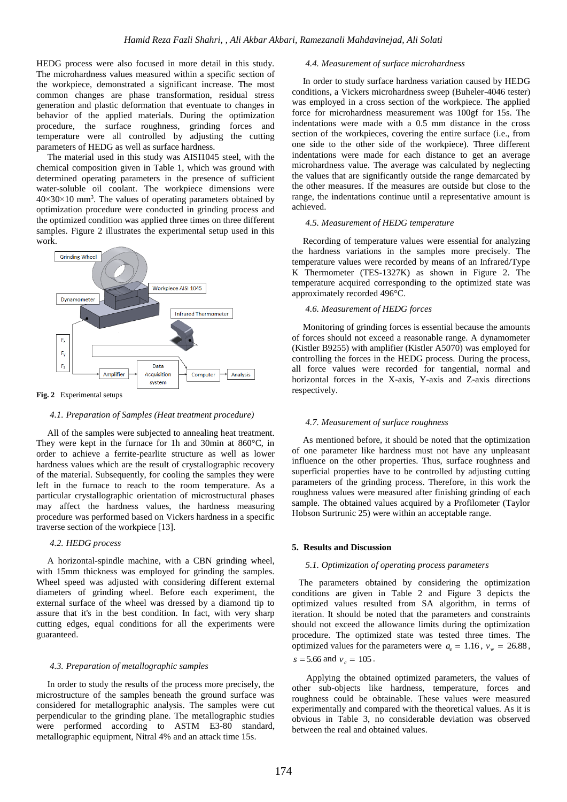HEDG process were also focused in more detail in this study. The microhardness values measured within a specific section of the workpiece, demonstrated a significant increase. The most common changes are phase transformation, residual stress generation and plastic deformation that eventuate to changes in behavior of the applied materials. During the optimization procedure, the surface roughness, grinding forces and temperature were all controlled by adjusting the cutting parameters of HEDG as well as surface hardness.

The material used in this study was AISI1045 steel, with the chemical composition given in Table 1, which was ground with determined operating parameters in the presence of sufficient water-soluble oil coolant. The workpiece dimensions were  $40\times30\times10$  mm<sup>3</sup>. The values of operating parameters obtained by optimization procedure were conducted in grinding process and the optimized condition was applied three times on three different samples. Figure 2 illustrates the experimental setup used in this work.



**Fig. 2** Experimental setups

#### *4.1. Preparation of Samples (Heat treatment procedure)*

All of the samples were subjected to annealing heat treatment. They were kept in the furnace for 1h and 30min at 860°C, in order to achieve a ferrite-pearlite structure as well as lower hardness values which are the result of crystallographic recovery of the material. Subsequently, for cooling the samples they were left in the furnace to reach to the room temperature. As a particular crystallographic orientation of microstructural phases may affect the hardness values, the hardness measuring procedure was performed based on Vickers hardness in a specific traverse section of the workpiece [13].

#### *4.2. HEDG process*

A horizontal-spindle machine, with a CBN grinding wheel, with 15mm thickness was employed for grinding the samples. Wheel speed was adjusted with considering different external diameters of grinding wheel. Before each experiment, the external surface of the wheel was dressed by a diamond tip to assure that it's in the best condition. In fact, with very sharp cutting edges, equal conditions for all the experiments were guaranteed.

#### *4.3. Preparation of metallographic samples*

In order to study the results of the process more precisely, the microstructure of the samples beneath the ground surface was considered for metallographic analysis. The samples were cut perpendicular to the grinding plane. The metallographic studies were performed according to ASTM E3-80 standard, metallographic equipment, Nitral 4% and an attack time 15s.

#### *4.4. Measurement of surface microhardness*

In order to study surface hardness variation caused by HEDG conditions, a Vickers microhardness sweep (Buheler-4046 tester) was employed in a cross section of the workpiece. The applied force for microhardness measurement was 100gf for 15s. The indentations were made with a 0.5 mm distance in the cross section of the workpieces, covering the entire surface (i.e., from one side to the other side of the workpiece). Three different indentations were made for each distance to get an average microhardness value. The average was calculated by neglecting the values that are significantly outside the range demarcated by the other measures. If the measures are outside but close to the range, the indentations continue until a representative amount is achieved.

#### *4.5. Measurement of HEDG temperature*

Recording of temperature values were essential for analyzing the hardness variations in the samples more precisely. The temperature values were recorded by means of an Infrared/Type K Thermometer (TES-1327K) as shown in Figure 2. The temperature acquired corresponding to the optimized state was approximately recorded 496°C.

#### *4.6. Measurement of HEDG forces*

Monitoring of grinding forces is essential because the amounts of forces should not exceed a reasonable range. A dynamometer (Kistler B9255) with amplifier (Kistler A5070) was employed for controlling the forces in the HEDG process. During the process, all force values were recorded for tangential, normal and horizontal forces in the X-axis, Y-axis and Z-axis directions respectively.

#### *4.7. Measurement of surface roughness*

As mentioned before, it should be noted that the optimization of one parameter like hardness must not have any unpleasant influence on the other properties. Thus, surface roughness and superficial properties have to be controlled by adjusting cutting parameters of the grinding process. Therefore, in this work the roughness values were measured after finishing grinding of each sample. The obtained values acquired by a Profilometer (Taylor Hobson Surtrunic 25) were within an acceptable range.

#### **5. Results and Discussion**

#### *5.1. Optimization of operating process parameters*

 The parameters obtained by considering the optimization conditions are given in Table 2 and Figure 3 depicts the optimized values resulted from SA algorithm, in terms of iteration. It should be noted that the parameters and constraints should not exceed the allowance limits during the optimization procedure. The optimized state was tested three times. The optimized values for the parameters were  $a_e = 1.16$ ,  $v_w = 26.88$ ,  $s = 5.66$  and  $v_c = 105$ .

Applying the obtained optimized parameters, the values of other sub-objects like hardness, temperature, forces and roughness could be obtainable. These values were measured experimentally and compared with the theoretical values. As it is obvious in Table 3, no considerable deviation was observed between the real and obtained values.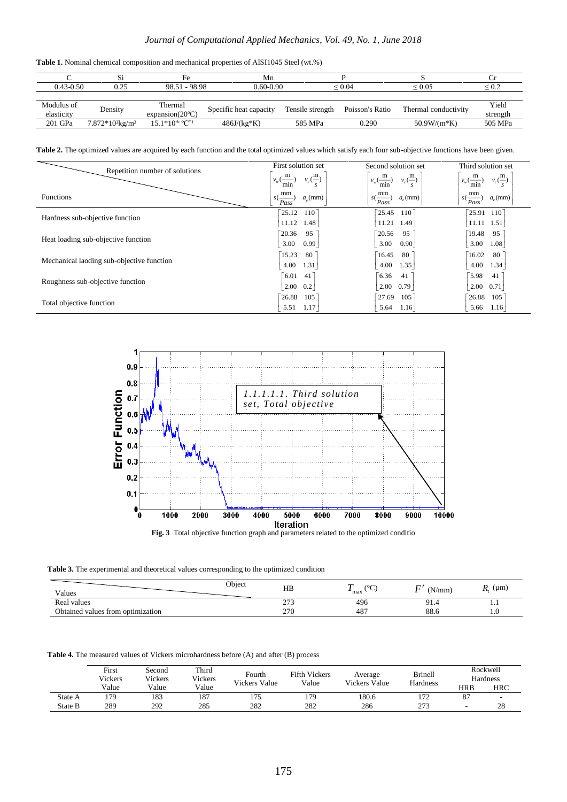#### *Journal of Computational Applied Mechanics, Vol. 49, No. 1, June 2018*

| <b>Table 1.</b> Nominal chemical composition and mechanical properties of AISI1045 Steel (wt.%) |  |
|-------------------------------------------------------------------------------------------------|--|
|-------------------------------------------------------------------------------------------------|--|

|               |                   | Fe                              | Mn                     |                           |                 |                      |            |
|---------------|-------------------|---------------------------------|------------------------|---------------------------|-----------------|----------------------|------------|
| $0.43 - 0.50$ | 0.25              | 98.51 - 98.98                   |                        | 0.60-0.90<br>${}^{<}0.04$ |                 | ${}^{<}\,0.05$       | $\leq 0.2$ |
|               |                   |                                 |                        |                           |                 |                      |            |
| Modulus of    | Density           | Thermal                         | Specific heat capacity | Tensile strength          | Poisson's Ratio | Thermal conductivity | Yield      |
| elasticity    |                   | expanion(20°C)                  |                        |                           |                 |                      | strength   |
| 201 GPa       | $7.872*10*kg/m^3$ | $15.1*10^{-6}$ °C <sup>-1</sup> | $486J/(kg*K)$          | 585 MPa                   | 0.290           | $50.9W/(m*K)$        | 505 MPa    |

|  |  |  | Table 2. The optimized values are acquired by each function and the total optimized values which satisfy each four sub-objective functions have been given. |  |  |
|--|--|--|-------------------------------------------------------------------------------------------------------------------------------------------------------------|--|--|
|  |  |  |                                                                                                                                                             |  |  |

| Repetition number of solutions            | First solution set                              | Second solution set                     | Third solution set                   |  |  |
|-------------------------------------------|-------------------------------------------------|-----------------------------------------|--------------------------------------|--|--|
|                                           | $v_w(\frac{m}{\cdot})$                          | $v_c(\frac{m}{2})$                      | $v_c(\frac{m}{2})$                   |  |  |
|                                           | $v_c(\frac{m}{2})$                              | $v_w(\frac{m}{\cdot})$                  | $v_w(\frac{m}{\cdot})$               |  |  |
|                                           | min                                             | min                                     | min                                  |  |  |
| <b>Functions</b>                          | $s(\frac{\text{mm}}{Pass})$<br>$a_{\rm s}$ (mm) | mm<br>$a_e$ (mm)<br>$s(\frac{m}{Pass})$ | mm<br>$a_e$ (mm)<br>$\frac{1}{Pass}$ |  |  |
|                                           | $110$ <sup><math>-</math></sup>                 | 25.45                                   | 25.91                                |  |  |
|                                           | 25.12                                           | 110                                     | $110^{-}$                            |  |  |
| Hardness sub-objective function           | 11.12                                           | 11.21                                   | 11.11                                |  |  |
|                                           | 1.48                                            | 1.49                                    | 1.51                                 |  |  |
|                                           | 95                                              | 20.56                                   | 19.48                                |  |  |
|                                           | 20.36                                           | 95                                      | 95                                   |  |  |
| Heat loading sub-objective function       | 3.00                                            | 3.00                                    | 3.00                                 |  |  |
|                                           | 0.99                                            | 0.90                                    | 1.08                                 |  |  |
|                                           | 15.23                                           | 16.45                                   | 16.02                                |  |  |
|                                           | 80                                              | 80                                      | 80                                   |  |  |
| Mechanical laoding sub-objective function | 1.31                                            | 4.00                                    | 4.00                                 |  |  |
|                                           | 4.00                                            | 1.35                                    | 1.34                                 |  |  |
|                                           | 6.01                                            | 6.36                                    | 5.98                                 |  |  |
|                                           | 41                                              | 41                                      | 41                                   |  |  |
| Roughness sub-objective function          | 2.00                                            | 0.79                                    | 2.00                                 |  |  |
|                                           | 0.2                                             | 2.00                                    | 0.71                                 |  |  |
|                                           | 26.88                                           | 105                                     | 26.88                                |  |  |
|                                           | 105                                             | 27.69                                   | 105                                  |  |  |
| Total objective function                  | 1.17                                            | 5.64                                    | 1.16                                 |  |  |
|                                           | 5.51                                            | 1.16                                    | 5.66                                 |  |  |



**Table 3.** The experimental and theoretical values corresponding to the optimized condition

| Values                            | Object | HB             | m<br>$\sim$<br>◡<br>$\mathbf{m}$ max | $\overline{\phantom{a}}$<br>$N/mm$ ) | $(\mu m)$ |
|-----------------------------------|--------|----------------|--------------------------------------|--------------------------------------|-----------|
| Real values                       |        | $\sim$<br>ر رے | 496                                  | O.<br><b>⁄⊥.⊣</b>                    | 1.1       |
| Obtained values from optimization |        | 270            | 487                                  | 88.6                                 | .         |

**Table 4.** The measured values of Vickers microhardness before (A) and after (B) process

|         | First<br>Vickers | Second<br>Vickers | Third<br>Vickers | Fourth<br><b>Vickers Value</b> | <b>Fifth Vickers</b><br>Value | Average<br><b>Vickers Value</b> | <b>Brinell</b><br><b>Hardness</b> | Rockwell<br>Hardness |                          |
|---------|------------------|-------------------|------------------|--------------------------------|-------------------------------|---------------------------------|-----------------------------------|----------------------|--------------------------|
|         | Value            | Value             | Value            |                                |                               |                                 |                                   | <b>HRB</b>           | HRC                      |
| State A | 179              | 183               | 187              | 175                            | 179                           | 180.6                           | ר י                               | o-<br>٥ı             | $\overline{\phantom{a}}$ |
| State B | 289              | 292               | 285              | 282                            | 282                           | 286                             | 273                               |                      | 28                       |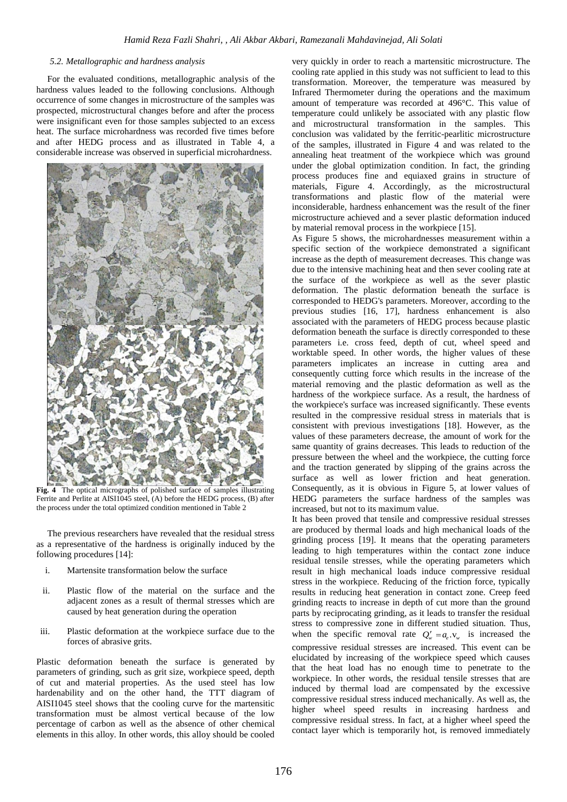#### *5.2. Metallographic and hardness analysis*

For the evaluated conditions, metallographic analysis of the hardness values leaded to the following conclusions. Although occurrence of some changes in microstructure of the samples was prospected, microstructural changes before and after the process were insignificant even for those samples subjected to an excess heat. The surface microhardness was recorded five times before and after HEDG process and as illustrated in Table 4, a considerable increase was observed in superficial microhardness.



**Fig. 4** The optical micrographs of polished surface of samples illustrating Ferrite and Perlite at AISI1045 steel, (A) before the HEDG process, (B) after the process under the total optimized condition mentioned in Table 2

The previous researchers have revealed that the residual stress as a representative of the hardness is originally induced by the following procedures [14]:

- i. Martensite transformation below the surface
- ii. Plastic flow of the material on the surface and the adjacent zones as a result of thermal stresses which are caused by heat generation during the operation
- iii. Plastic deformation at the workpiece surface due to the forces of abrasive grits.

Plastic deformation beneath the surface is generated by parameters of grinding, such as grit size, workpiece speed, depth of cut and material properties. As the used steel has low hardenability and on the other hand, the TTT diagram of AISI1045 steel shows that the cooling curve for the martensitic transformation must be almost vertical because of the low percentage of carbon as well as the absence of other chemical elements in this alloy. In other words, this alloy should be cooled

very quickly in order to reach a martensitic microstructure. The cooling rate applied in this study was not sufficient to lead to this transformation. Moreover, the temperature was measured by Infrared Thermometer during the operations and the maximum amount of temperature was recorded at 496°C. This value of temperature could unlikely be associated with any plastic flow and microstructural transformation in the samples. This conclusion was validated by the ferritic-pearlitic microstructure of the samples, illustrated in Figure 4 and was related to the annealing heat treatment of the workpiece which was ground under the global optimization condition. In fact, the grinding process produces fine and equiaxed grains in structure of materials, Figure 4. Accordingly, as the microstructural transformations and plastic flow of the material were inconsiderable, hardness enhancement was the result of the finer microstructure achieved and a sever plastic deformation induced by material removal process in the workpiece [15].

As Figure 5 shows, the microhardnesses measurement within a specific section of the workpiece demonstrated a significant increase as the depth of measurement decreases. This change was due to the intensive machining heat and then sever cooling rate at the surface of the workpiece as well as the sever plastic deformation. The plastic deformation beneath the surface is corresponded to HEDG's parameters. Moreover, according to the previous studies [16, 17], hardness enhancement is also associated with the parameters of HEDG process because plastic deformation beneath the surface is directly corresponded to these parameters i.e. cross feed, depth of cut, wheel speed and worktable speed. In other words, the higher values of these parameters implicates an increase in cutting area and consequently cutting force which results in the increase of the material removing and the plastic deformation as well as the hardness of the workpiece surface. As a result, the hardness of the workpiece's surface was increased significantly. These events resulted in the compressive residual stress in materials that is consistent with previous investigations [18]. However, as the values of these parameters decrease, the amount of work for the same quantity of grains decreases. This leads to reduction of the pressure between the wheel and the workpiece, the cutting force and the traction generated by slipping of the grains across the surface as well as lower friction and heat generation. Consequently, as it is obvious in Figure 5, at lower values of HEDG parameters the surface hardness of the samples was increased, but not to its maximum value.

It has been proved that tensile and compressive residual stresses are produced by thermal loads and high mechanical loads of the grinding process [19]. It means that the operating parameters leading to high temperatures within the contact zone induce residual tensile stresses, while the operating parameters which result in high mechanical loads induce compressive residual stress in the workpiece. Reducing of the friction force, typically results in reducing heat generation in contact zone. Creep feed grinding reacts to increase in depth of cut more than the ground parts by reciprocating grinding, as it leads to transfer the residual stress to compressive zone in different studied situation. Thus, when the specific removal rate  $Q'_w = a_e \cdot v_w$  is increased the compressive residual stresses are increased. This event can be elucidated by increasing of the workpiece speed which causes that the heat load has no enough time to penetrate to the workpiece. In other words, the residual tensile stresses that are induced by thermal load are compensated by the excessive compressive residual stress induced mechanically. As well as, the higher wheel speed results in increasing hardness and compressive residual stress. In fact, at a higher wheel speed the contact layer which is temporarily hot, is removed immediately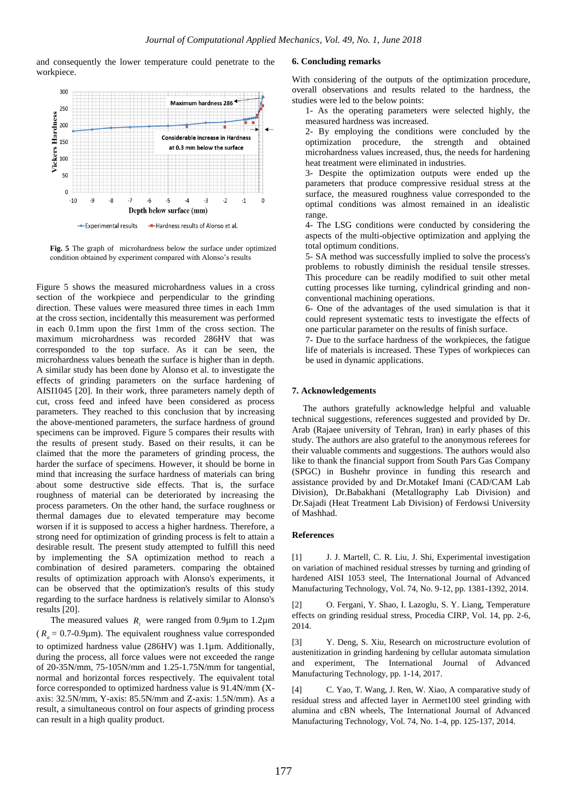and consequently the lower temperature could penetrate to the workpiece.



**Fig. 5** The graph of microhardness below the surface under optimized condition obtained by experiment compared with Alonso's results

Figure 5 shows the measured microhardness values in a cross section of the workpiece and perpendicular to the grinding direction. These values were measured three times in each 1mm at the cross section, incidentally this measurement was performed in each 0.1mm upon the first 1mm of the cross section. The maximum microhardness was recorded 286HV that was corresponded to the top surface. As it can be seen, the microhardness values beneath the surface is higher than in depth. A similar study has been done by Alonso et al. to investigate the effects of grinding parameters on the surface hardening of AISI1045 [20]. In their work, three parameters namely depth of cut, cross feed and infeed have been considered as process parameters. They reached to this conclusion that by increasing the above-mentioned parameters, the surface hardness of ground specimens can be improved. Figure 5 compares their results with the results of present study. Based on their results, it can be claimed that the more the parameters of grinding process, the harder the surface of specimens. However, it should be borne in mind that increasing the surface hardness of materials can bring about some destructive side effects. That is, the surface roughness of material can be deteriorated by increasing the process parameters. On the other hand, the surface roughness or thermal damages due to elevated temperature may become worsen if it is supposed to access a higher hardness. Therefore, a strong need for optimization of grinding process is felt to attain a desirable result. The present study attempted to fulfill this need by implementing the SA optimization method to reach a combination of desired parameters. comparing the obtained results of optimization approach with Alonso's experiments, it can be observed that the optimization's results of this study regarding to the surface hardness is relatively similar to Alonso's results [20].

The measured values  $R_t$  were ranged from 0.9 $\mu$ m to 1.2 $\mu$ m  $(R_a = 0.7$ -0.9 $\mu$ m). The equivalent roughness value corresponded to optimized hardness value (286HV) was 1.1µm. Additionally, during the process, all force values were not exceeded the range of 20-35N/mm, 75-105N/mm and 1.25-1.75N/mm for tangential, normal and horizontal forces respectively. The equivalent total force corresponded to optimized hardness value is 91.4N/mm (Xaxis: 32.5N/mm, Y-axis: 85.5N/mm and Z-axis: 1.5N/mm). As a result, a simultaneous control on four aspects of grinding process can result in a high quality product.

#### **6. Concluding remarks**

With considering of the outputs of the optimization procedure, overall observations and results related to the hardness, the studies were led to the below points:

1- As the operating parameters were selected highly, the measured hardness was increased.

2- By employing the conditions were concluded by the optimization procedure, the strength and obtained microhardness values increased, thus, the needs for hardening heat treatment were eliminated in industries.

3- Despite the optimization outputs were ended up the parameters that produce compressive residual stress at the surface, the measured roughness value corresponded to the optimal conditions was almost remained in an idealistic range.

4- The LSG conditions were conducted by considering the aspects of the multi-objective optimization and applying the total optimum conditions.

5- SA method was successfully implied to solve the process's problems to robustly diminish the residual tensile stresses. This procedure can be readily modified to suit other metal cutting processes like turning, cylindrical grinding and nonconventional machining operations.

6- One of the advantages of the used simulation is that it could represent systematic tests to investigate the effects of one particular parameter on the results of finish surface.

7- Due to the surface hardness of the workpieces, the fatigue life of materials is increased. These Types of workpieces can be used in dynamic applications.

#### **7. Acknowledgements**

The authors gratefully acknowledge helpful and valuable technical suggestions, references suggested and provided by Dr. Arab (Rajaee university of Tehran, Iran) in early phases of this study. The authors are also grateful to the anonymous referees for their valuable comments and suggestions. The authors would also like to thank the financial support from South Pars Gas Company (SPGC) in Bushehr province in funding this research and assistance provided by and Dr.Motakef Imani (CAD/CAM Lab Division), Dr.Babakhani (Metallography Lab Division) and Dr.Sajadi (Heat Treatment Lab Division) of Ferdowsi University of Mashhad.

#### **References**

[1] J. J. Martell, C. R. Liu, J. Shi, Experimental investigation on variation of machined residual stresses by turning and grinding of hardened AISI 1053 steel, The International Journal of Advanced Manufacturing Technology, Vol. 74, No. 9-12, pp. 1381-1392, 2014.

[2] O. Fergani, Y. Shao, I. Lazoglu, S. Y. Liang, Temperature effects on grinding residual stress, Procedia CIRP, Vol. 14, pp. 2-6, 2014.

[3] Y. Deng, S. Xiu, Research on microstructure evolution of austenitization in grinding hardening by cellular automata simulation and experiment, The International Journal of Advanced Manufacturing Technology, pp. 1-14, 2017.

[4] C. Yao, T. Wang, J. Ren, W. Xiao, A comparative study of residual stress and affected layer in Aermet100 steel grinding with alumina and cBN wheels, The International Journal of Advanced Manufacturing Technology, Vol. 74, No. 1-4, pp. 125-137, 2014.